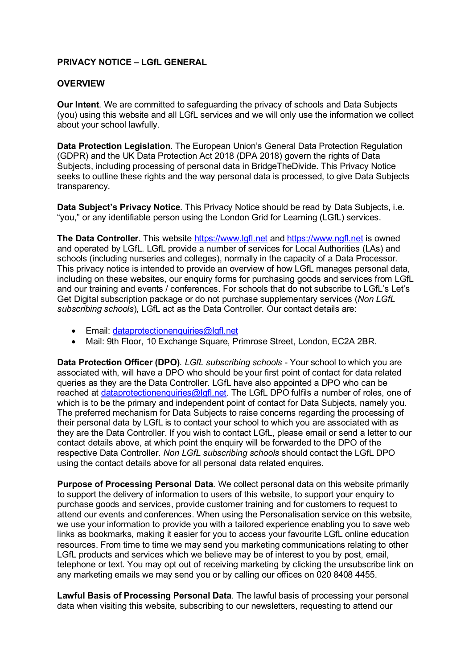## **PRIVACY NOTICE – LGfL GENERAL**

## **OVERVIEW**

**Our Intent**. We are committed to safeguarding the privacy of schools and Data Subjects (you) using this website and all LGfL services and we will only use the information we collect about your school lawfully.

**Data Protection Legislation**. The European Union's General Data Protection Regulation (GDPR) and the UK Data Protection Act 2018 (DPA 2018) govern the rights of Data Subjects, including processing of personal data in BridgeTheDivide. This Privacy Notice seeks to outline these rights and the way personal data is processed, to give Data Subjects transparency.

**Data Subject's Privacy Notice**. This Privacy Notice should be read by Data Subjects, i.e. "you," or any identifiable person using the London Grid for Learning (LGfL) services.

**The Data Controller**. This website [https://www.lgfl.net](https://www.lgfl.net/) and [https://www.ngfl.net](https://www.ngfl.net/) is owned and operated by LGfL. LGfL provide a number of services for Local Authorities (LAs) and schools (including nurseries and colleges), normally in the capacity of a Data Processor. This privacy notice is intended to provide an overview of how LGfL manages personal data, including on these websites, our enquiry forms for purchasing goods and services from LGfL and our training and events / conferences. For schools that do not subscribe to LGfL's Let's Get Digital subscription package or do not purchase supplementary services (*Non LGfL subscribing schools*), LGfL act as the Data Controller. Our contact details are:

- Email: [dataprotectionenquiries@lgfl.net](mailto:dataprotectionenquiries@lgfl.net)
- Mail: 9th Floor, 10 Exchange Square, Primrose Street, London, EC2A 2BR.

**Data Protection Officer (DPO)**. *LGfL subscribing schools* - Your school to which you are associated with, will have a DPO who should be your first point of contact for data related queries as they are the Data Controller. LGfL have also appointed a DPO who can be reached at [dataprotectionenquiries@lgfl.net.](mailto:dataprotectionenquiries@lgfl.net) The LGfL DPO fulfils a number of roles, one of which is to be the primary and independent point of contact for Data Subjects, namely you. The preferred mechanism for Data Subjects to raise concerns regarding the processing of their personal data by LGfL is to contact your school to which you are associated with as they are the Data Controller. If you wish to contact LGfL, please email or send a letter to our contact details above, at which point the enquiry will be forwarded to the DPO of the respective Data Controller. *Non LGfL subscribing schools* should contact the LGfL DPO using the contact details above for all personal data related enquires.

**Purpose of Processing Personal Data**. We collect personal data on this website primarily to support the delivery of information to users of this website, to support your enquiry to purchase goods and services, provide customer training and for customers to request to attend our events and conferences. When using the Personalisation service on this website, we use your information to provide you with a tailored experience enabling you to save web links as bookmarks, making it easier for you to access your favourite LGfL online education resources. From time to time we may send you marketing communications relating to other LGfL products and services which we believe may be of interest to you by post, email, telephone or text. You may opt out of receiving marketing by clicking the unsubscribe link on any marketing emails we may send you or by calling our offices on 020 8408 4455.

**Lawful Basis of Processing Personal Data**. The lawful basis of processing your personal data when visiting this website, subscribing to our newsletters, requesting to attend our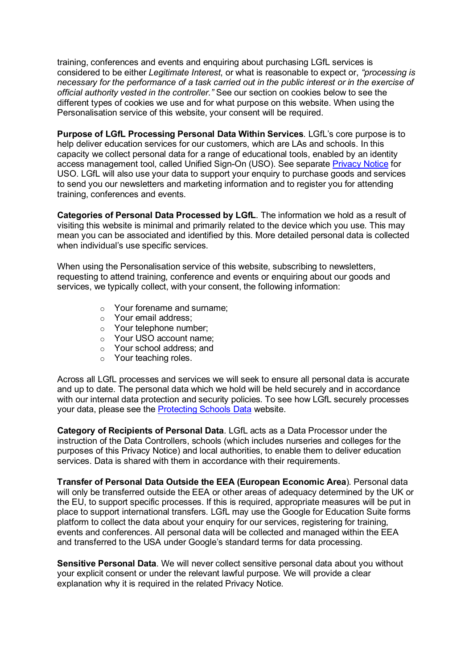training, conferences and events and enquiring about purchasing LGfL services is considered to be either *Legitimate Interest*, or what is reasonable to expect or, *"processing is necessary for the performance of a task carried out in the public interest or in the exercise of official authority vested in the controller."* See our section on cookies below to see the different types of cookies we use and for what purpose on this website. When using the Personalisation service of this website, your consent will be required.

**Purpose of LGfL Processing Personal Data Within Services**. LGfL's core purpose is to help deliver education services for our customers, which are LAs and schools. In this capacity we collect personal data for a range of educational tools, enabled by an identity access management tool, called Unified Sign-On (USO). See separate [Privacy Notice](http://static.lgfl.net/eAdmissions/LGFL-Privacy-Policy-USO.pdf) for USO. LGfL will also use your data to support your enquiry to purchase goods and services to send you our newsletters and marketing information and to register you for attending training, conferences and events.

**Categories of Personal Data Processed by LGfL**. The information we hold as a result of visiting this website is minimal and primarily related to the device which you use. This may mean you can be associated and identified by this. More detailed personal data is collected when individual's use specific services.

When using the Personalisation service of this website, subscribing to newsletters, requesting to attend training, conference and events or enquiring about our goods and services, we typically collect, with your consent, the following information:

- o Your forename and surname;
- o Your email address;
- o Your telephone number;
- o Your USO account name;
- o Your school address; and
- o Your teaching roles.

Across all LGfL processes and services we will seek to ensure all personal data is accurate and up to date. The personal data which we hold will be held securely and in accordance with our internal data protection and security policies. To see how LGfL securely processes your data, please see the [Protecting Schools Data](https://www.lgfl.net/gdpr/protecting-schools-data) website.

**Category of Recipients of Personal Data**. LGfL acts as a Data Processor under the instruction of the Data Controllers, schools (which includes nurseries and colleges for the purposes of this Privacy Notice) and local authorities, to enable them to deliver education services. Data is shared with them in accordance with their requirements.

**Transfer of Personal Data Outside the EEA (European Economic Area**). Personal data will only be transferred outside the EEA or other areas of adequacy determined by the UK or the EU, to support specific processes. If this is required, appropriate measures will be put in place to support international transfers. LGfL may use the Google for Education Suite forms platform to collect the data about your enquiry for our services, registering for training, events and conferences. All personal data will be collected and managed within the EEA and transferred to the USA under Google's standard terms for data processing.

**Sensitive Personal Data**. We will never collect sensitive personal data about you without your explicit consent or under the relevant lawful purpose. We will provide a clear explanation why it is required in the related Privacy Notice.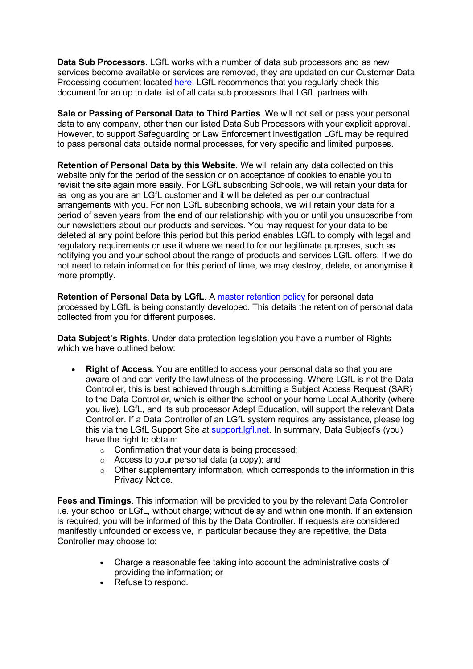**Data Sub Processors**. LGfL works with a number of data sub processors and as new services become available or services are removed, they are updated on our Customer Data Processing document located [here.](https://static.lgfl.net/LgflNet/downloads/policies/LGfL%20Customer%20Data%20Processing%20-%20FINAL.pdf) LGfL recommends that you regularly check this document for an up to date list of all data sub processors that LGfL partners with.

**Sale or Passing of Personal Data to Third Parties**. We will not sell or pass your personal data to any company, other than our listed Data Sub Processors with your explicit approval. However, to support Safeguarding or Law Enforcement investigation LGfL may be required to pass personal data outside normal processes, for very specific and limited purposes.

**Retention of Personal Data by this Website**. We will retain any data collected on this website only for the period of the session or on acceptance of cookies to enable you to revisit the site again more easily. For LGfL subscribing Schools, we will retain your data for as long as you are an LGfL customer and it will be deleted as per our contractual arrangements with you. For non LGfL subscribing schools, we will retain your data for a period of seven years from the end of our relationship with you or until you unsubscribe from our newsletters about our products and services. You may request for your data to be deleted at any point before this period but this period enables LGfL to comply with legal and regulatory requirements or use it where we need to for our legitimate purposes, such as notifying you and your school about the range of products and services LGfL offers. If we do not need to retain information for this period of time, we may destroy, delete, or anonymise it more promptly.

**Retention of Personal Data by LGfL.** A [master retention policy](https://www.lgfl.net/gdpr/retention-policies) for personal data processed by LGfL is being constantly developed. This details the retention of personal data collected from you for different purposes.

**Data Subject's Rights**. Under data protection legislation you have a number of Rights which we have outlined below:

- **Right of Access**. You are entitled to access your personal data so that you are aware of and can verify the lawfulness of the processing. Where LGfL is not the Data Controller, this is best achieved through submitting a Subject Access Request (SAR) to the Data Controller, which is either the school or your home Local Authority (where you live). LGfL, and its sub processor Adept Education, will support the relevant Data Controller. If a Data Controller of an LGfL system requires any assistance, please log this via the LGfL Support Site at [support.lgfl.net.](https://support.lgfl.net/) In summary, Data Subject's (you) have the right to obtain:
	- o Confirmation that your data is being processed;
	- o Access to your personal data (a copy); and
	- $\circ$  Other supplementary information, which corresponds to the information in this Privacy Notice.

**Fees and Timings**. This information will be provided to you by the relevant Data Controller i.e. your school or LGfL, without charge; without delay and within one month. If an extension is required, you will be informed of this by the Data Controller. If requests are considered manifestly unfounded or excessive, in particular because they are repetitive, the Data Controller may choose to:

- Charge a reasonable fee taking into account the administrative costs of providing the information; or
- Refuse to respond.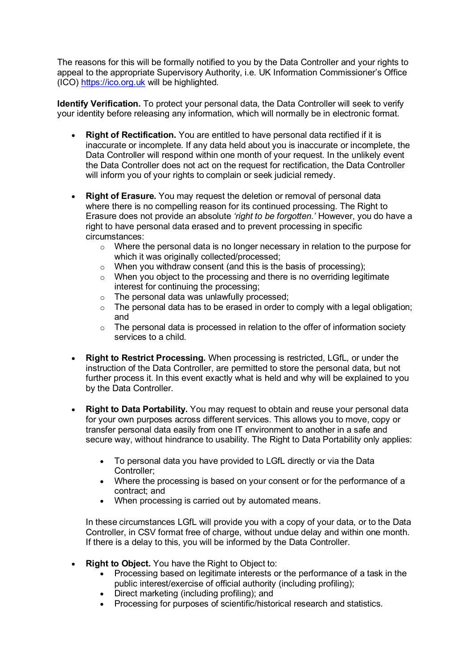The reasons for this will be formally notified to you by the Data Controller and your rights to appeal to the appropriate Supervisory Authority, i.e. UK Information Commissioner's Office (ICO) [https://ico.org.uk](https://ico.org.uk/) will be highlighted.

**Identify Verification.** To protect your personal data, the Data Controller will seek to verify your identity before releasing any information, which will normally be in electronic format.

- **Right of Rectification.** You are entitled to have personal data rectified if it is inaccurate or incomplete. If any data held about you is inaccurate or incomplete, the Data Controller will respond within one month of your request. In the unlikely event the Data Controller does not act on the request for rectification, the Data Controller will inform you of your rights to complain or seek judicial remedy.
- **Right of Erasure.** You may request the deletion or removal of personal data where there is no compelling reason for its continued processing. The Right to Erasure does not provide an absolute *'right to be forgotten.'* However, you do have a right to have personal data erased and to prevent processing in specific circumstances:
	- o Where the personal data is no longer necessary in relation to the purpose for which it was originally collected/processed;
	- o When you withdraw consent (and this is the basis of processing);
	- o When you object to the processing and there is no overriding legitimate interest for continuing the processing;
	- o The personal data was unlawfully processed;
	- $\circ$  The personal data has to be erased in order to comply with a legal obligation; and
	- o The personal data is processed in relation to the offer of information society services to a child.
- **Right to Restrict Processing.** When processing is restricted, LGfL, or under the instruction of the Data Controller, are permitted to store the personal data, but not further process it. In this event exactly what is held and why will be explained to you by the Data Controller.
- **Right to Data Portability.** You may request to obtain and reuse your personal data for your own purposes across different services. This allows you to move, copy or transfer personal data easily from one IT environment to another in a safe and secure way, without hindrance to usability. The Right to Data Portability only applies:
	- To personal data you have provided to LGfL directly or via the Data Controller;
	- Where the processing is based on your consent or for the performance of a contract; and
	- When processing is carried out by automated means.

In these circumstances LGfL will provide you with a copy of your data, or to the Data Controller, in CSV format free of charge, without undue delay and within one month. If there is a delay to this, you will be informed by the Data Controller.

- **Right to Object.** You have the Right to Object to:
	- Processing based on legitimate interests or the performance of a task in the public interest/exercise of official authority (including profiling);
	- Direct marketing (including profiling); and
	- Processing for purposes of scientific/historical research and statistics.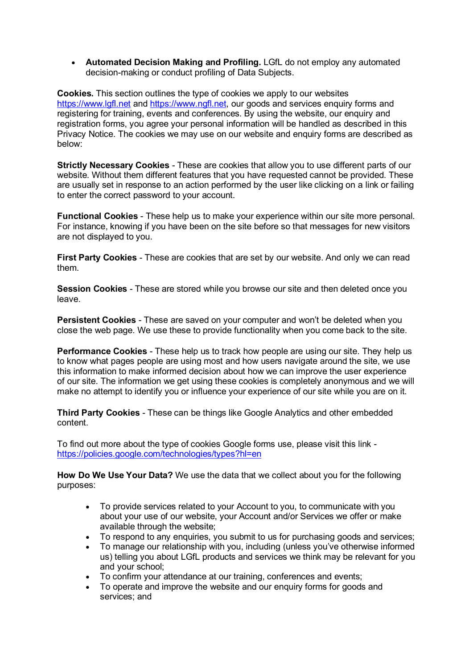• **Automated Decision Making and Profiling.** LGfL do not employ any automated decision-making or conduct profiling of Data Subjects.

**Cookies.** This section outlines the type of cookies we apply to our websites [https://www.lgfl.net](https://www.lgfl.net/) and [https://www.ngfl.net,](https://www.ngfl.net/) our goods and services enquiry forms and registering for training, events and conferences. By using the website, our enquiry and registration forms, you agree your personal information will be handled as described in this Privacy Notice. The cookies we may use on our website and enquiry forms are described as below:

**Strictly Necessary Cookies** - These are cookies that allow you to use different parts of our website. Without them different features that you have requested cannot be provided. These are usually set in response to an action performed by the user like clicking on a link or failing to enter the correct password to your account.

**Functional Cookies** - These help us to make your experience within our site more personal. For instance, knowing if you have been on the site before so that messages for new visitors are not displayed to you.

**First Party Cookies** - These are cookies that are set by our website. And only we can read them.

**Session Cookies** - These are stored while you browse our site and then deleted once you leave.

**Persistent Cookies** - These are saved on your computer and won't be deleted when you close the web page. We use these to provide functionality when you come back to the site.

**Performance Cookies** - These help us to track how people are using our site. They help us to know what pages people are using most and how users navigate around the site, we use this information to make informed decision about how we can improve the user experience of our site. The information we get using these cookies is completely anonymous and we will make no attempt to identify you or influence your experience of our site while you are on it.

**Third Party Cookies** - These can be things like Google Analytics and other embedded content.

To find out more about the type of cookies Google forms use, please visit this link <https://policies.google.com/technologies/types?hl=en>

**How Do We Use Your Data?** We use the data that we collect about you for the following purposes:

- To provide services related to your Account to you, to communicate with you about your use of our website, your Account and/or Services we offer or make available through the website;
- To respond to any enquiries, you submit to us for purchasing goods and services;
- To manage our relationship with you, including (unless you've otherwise informed us) telling you about LGfL products and services we think may be relevant for you and your school;
- To confirm your attendance at our training, conferences and events;
- To operate and improve the website and our enquiry forms for goods and services; and